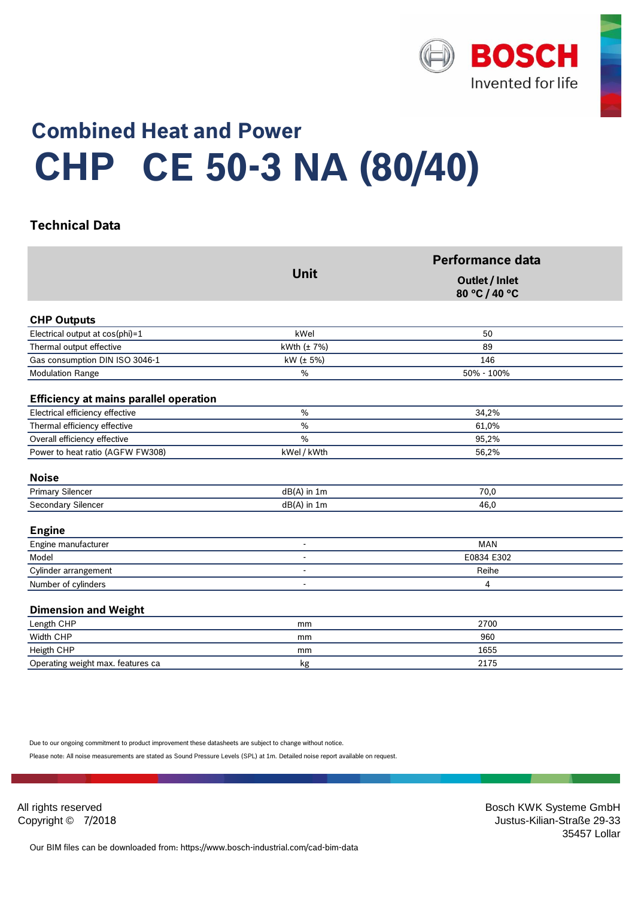

# **Combined Heat and Power CE 50-3 NA (80/40) CHP**

#### <sup>0</sup> **Technical Data**

|                                               | <b>Unit</b>     | Performance data                |  |
|-----------------------------------------------|-----------------|---------------------------------|--|
|                                               |                 | Outlet / Inlet<br>80 °C / 40 °C |  |
| <b>CHP Outputs</b>                            |                 |                                 |  |
| Electrical output at cos(phi)=1               | kWel            | 50                              |  |
| Thermal output effective                      | kWth $(\pm 7%)$ | 89                              |  |
| Gas consumption DIN ISO 3046-1                | kW (± 5%)       | 146                             |  |
| <b>Modulation Range</b>                       | %               | 50% - 100%                      |  |
| <b>Efficiency at mains parallel operation</b> |                 |                                 |  |
| Electrical efficiency effective               | %               | 34,2%                           |  |
| Thermal efficiency effective                  | $\frac{0}{0}$   | 61,0%                           |  |
| Overall efficiency effective                  | $\frac{0}{0}$   | 95,2%                           |  |
| Power to heat ratio (AGFW FW308)              | kWel / kWth     | 56,2%                           |  |
| <b>Noise</b>                                  |                 |                                 |  |
| <b>Primary Silencer</b>                       | dB(A) in 1m     | 70,0                            |  |
| Secondary Silencer                            | $dB(A)$ in 1m   | 46,0                            |  |
| <b>Engine</b>                                 |                 |                                 |  |
| Engine manufacturer                           | $\overline{a}$  | <b>MAN</b>                      |  |
| Model                                         |                 | E0834 E302                      |  |
| Cylinder arrangement                          |                 | Reihe                           |  |
| Number of cylinders                           | $\overline{a}$  | 4                               |  |
| <b>Dimension and Weight</b>                   |                 |                                 |  |
| Length CHP                                    | mm              | 2700                            |  |
| Width CHP                                     | mm              | 960                             |  |
| Heigth CHP                                    | mm              | 1655                            |  |
| Operating weight max. features ca             | kg              | 2175                            |  |

Due to our ongoing commitment to product improvement these datasheets are subject to change without notice.

17.1 Please note: All noise measurements are stated as Sound Pressure Levels (SPL) at 1m. Detailed noise report available on request.

All rights reserved **Bosch KWK Systeme GmbH** Bosch KWK Systeme GmbH Copyright © 7/2018 Justus-Kilian-Straße 29-33 the control of the control of the control of the control of the control of the control of the control of the control of the control of the control of the control of the control of the control of the control of the control

Our BIM files can be downloaded from: https://www.bosch-industrial.com/cad-bim-data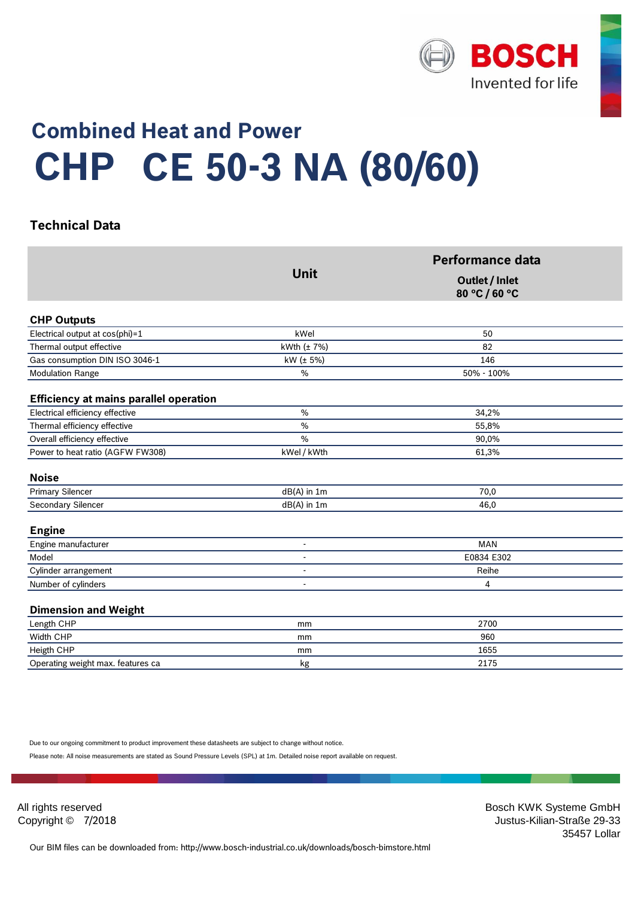

# **Combined Heat and Power CE 50-3 NA (80/60) CHP**

### <sup>0</sup> **Technical Data**

|                                               | <b>Unit</b>     | Performance data                |  |
|-----------------------------------------------|-----------------|---------------------------------|--|
|                                               |                 | Outlet / Inlet<br>80 °C / 60 °C |  |
| <b>CHP Outputs</b>                            |                 |                                 |  |
| Electrical output at cos(phi)=1               | kWel            | 50                              |  |
| Thermal output effective                      | kWth $(\pm 7%)$ | 82                              |  |
| Gas consumption DIN ISO 3046-1                | kW (± 5%)       | 146                             |  |
| <b>Modulation Range</b>                       | %               | 50% - 100%                      |  |
| <b>Efficiency at mains parallel operation</b> |                 |                                 |  |
| Electrical efficiency effective               | %               | 34,2%                           |  |
| Thermal efficiency effective                  | $\frac{0}{0}$   | 55,8%                           |  |
| Overall efficiency effective                  | $\frac{0}{0}$   | 90,0%                           |  |
| Power to heat ratio (AGFW FW308)              | kWel / kWth     | 61,3%                           |  |
| <b>Noise</b>                                  |                 |                                 |  |
| <b>Primary Silencer</b>                       | dB(A) in 1m     | 70,0                            |  |
| Secondary Silencer                            | $dB(A)$ in 1m   | 46,0                            |  |
| <b>Engine</b>                                 |                 |                                 |  |
| Engine manufacturer                           | $\overline{a}$  | <b>MAN</b>                      |  |
| Model                                         |                 | E0834 E302                      |  |
| Cylinder arrangement                          |                 | Reihe                           |  |
| Number of cylinders                           | $\overline{a}$  | 4                               |  |
| <b>Dimension and Weight</b>                   |                 |                                 |  |
| Length CHP                                    | mm              | 2700                            |  |
| Width CHP                                     | mm              | 960                             |  |
| Heigth CHP                                    | mm              | 1655                            |  |
| Operating weight max. features ca             | kg              | 2175                            |  |

Due to our ongoing commitment to product improvement these datasheets are subject to change without notice.

17.1 Please note: All noise measurements are stated as Sound Pressure Levels (SPL) at 1m. Detailed noise report available on request.

All rights reserved **Bosch KWK Systeme GmbH** Bosch KWK Systeme GmbH Copyright © 7/2018 Justus-Kilian-Straße 29-33 the control of the control of the control of the control of the control of the control of the control of the control of the control of the control of the control of the control of the control of the control of the control

Our BIM files can be downloaded from: http://www.bosch-industrial.co.uk/downloads/bosch-bimstore.html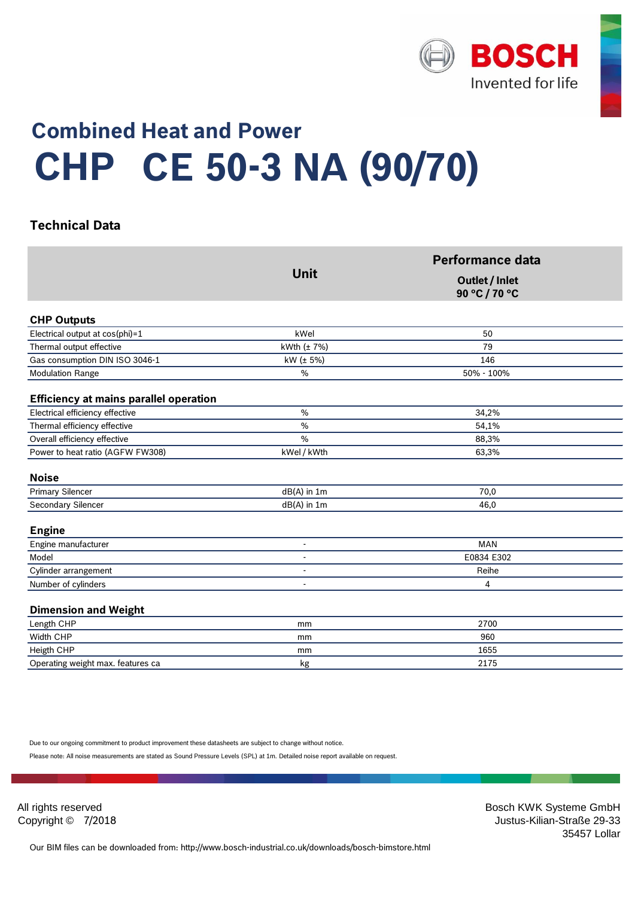

# **Combined Heat and Power CE 50-3 NA (90/70) CHP**

### <sup>0</sup> **Technical Data**

|                                               | <b>Unit</b>      | <b>Performance data</b><br>Outlet / Inlet<br>90 °C / 70 °C |
|-----------------------------------------------|------------------|------------------------------------------------------------|
|                                               |                  |                                                            |
| <b>CHP Outputs</b>                            |                  |                                                            |
| Electrical output at cos(phi)=1               | kWel             | 50                                                         |
| Thermal output effective                      | kWth $(\pm 7\%)$ | 79                                                         |
| Gas consumption DIN ISO 3046-1                | kW (± 5%)        | 146                                                        |
| <b>Modulation Range</b>                       | $\%$             | 50% - 100%                                                 |
| <b>Efficiency at mains parallel operation</b> |                  |                                                            |
| Electrical efficiency effective               | $\%$             | 34,2%                                                      |
| Thermal efficiency effective                  | $\frac{9}{0}$    | 54,1%                                                      |
| Overall efficiency effective                  | $\%$             | 88,3%                                                      |
| Power to heat ratio (AGFW FW308)              | kWel / kWth      | 63,3%                                                      |
| <b>Noise</b>                                  |                  |                                                            |
| Primary Silencer                              | dB(A) in 1m      | 70,0                                                       |
| Secondary Silencer                            | dB(A) in 1m      | 46,0                                                       |
| <b>Engine</b>                                 |                  |                                                            |
| Engine manufacturer                           | $\mathbf{r}$     | <b>MAN</b>                                                 |
| Model                                         |                  | E0834 E302                                                 |
| Cylinder arrangement                          |                  | Reihe                                                      |
| Number of cylinders                           |                  | 4                                                          |
| <b>Dimension and Weight</b>                   |                  |                                                            |
| Length CHP                                    | mm               | 2700                                                       |
| Width CHP                                     | mm               | 960                                                        |
| Heigth CHP                                    | mm               | 1655                                                       |
| Operating weight max. features ca             | kg               | 2175                                                       |

Due to our ongoing commitment to product improvement these datasheets are subject to change without notice.

17.1 Please note: All noise measurements are stated as Sound Pressure Levels (SPL) at 1m. Detailed noise report available on request.

All rights reserved **Bosch KWK Systeme GmbH** Bosch KWK Systeme GmbH Copyright © 7/2018 Justus-Kilian-Straße 29-33 the control of the control of the control of the control of the control of the control of the control of the control of the control of the control of the control of the control of the control of the control of the control

Our BIM files can be downloaded from: http://www.bosch-industrial.co.uk/downloads/bosch-bimstore.html